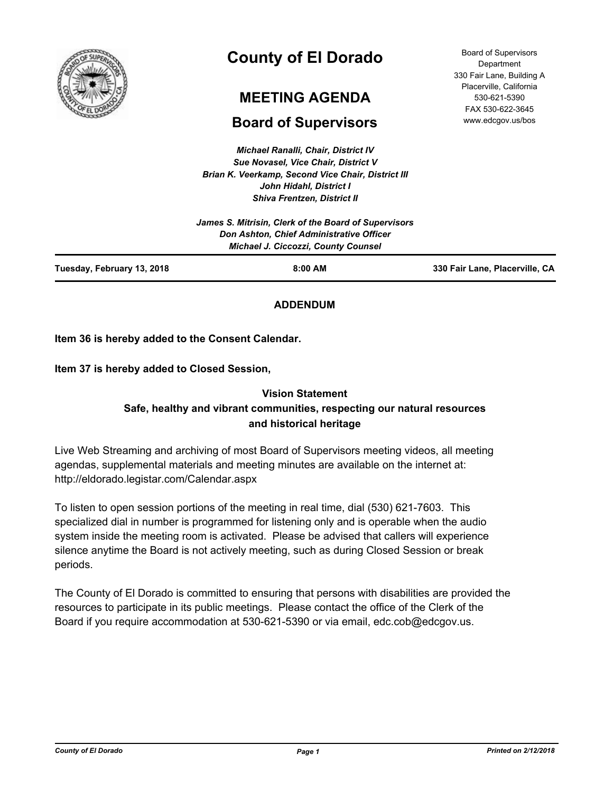

# **County of El Dorado**

# **MEETING AGENDA**

# **Board of Supervisors**

*Michael Ranalli, Chair, District IV Sue Novasel, Vice Chair, District V Brian K. Veerkamp, Second Vice Chair, District III John Hidahl, District I Shiva Frentzen, District II*

530-621-5390 FAX 530-622-3645 www.edcgov.us/bos

Board of Supervisors **Department** 330 Fair Lane, Building A Placerville, California

|                            | James S. Mitrisin, Clerk of the Board of Supervisors<br>Don Ashton, Chief Administrative Officer<br><b>Michael J. Ciccozzi, County Counsel</b> |                                |
|----------------------------|------------------------------------------------------------------------------------------------------------------------------------------------|--------------------------------|
| Tuesday, February 13, 2018 | $8:00$ AM                                                                                                                                      | 330 Fair Lane, Placerville, CA |

## **ADDENDUM**

**Item 36 is hereby added to the Consent Calendar.**

**Item 37 is hereby added to Closed Session,**

## **Vision Statement Safe, healthy and vibrant communities, respecting our natural resources and historical heritage**

Live Web Streaming and archiving of most Board of Supervisors meeting videos, all meeting agendas, supplemental materials and meeting minutes are available on the internet at: http://eldorado.legistar.com/Calendar.aspx

To listen to open session portions of the meeting in real time, dial (530) 621-7603. This specialized dial in number is programmed for listening only and is operable when the audio system inside the meeting room is activated. Please be advised that callers will experience silence anytime the Board is not actively meeting, such as during Closed Session or break periods.

The County of El Dorado is committed to ensuring that persons with disabilities are provided the resources to participate in its public meetings. Please contact the office of the Clerk of the Board if you require accommodation at 530-621-5390 or via email, edc.cob@edcgov.us.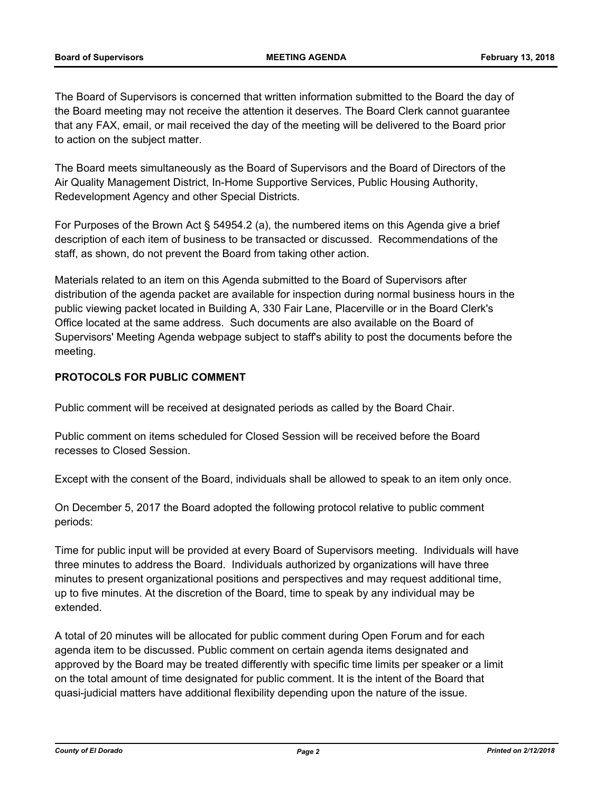The Board of Supervisors is concerned that written information submitted to the Board the day of the Board meeting may not receive the attention it deserves. The Board Clerk cannot guarantee that any FAX, email, or mail received the day of the meeting will be delivered to the Board prior to action on the subject matter.

The Board meets simultaneously as the Board of Supervisors and the Board of Directors of the Air Quality Management District, In-Home Supportive Services, Public Housing Authority, Redevelopment Agency and other Special Districts.

For Purposes of the Brown Act § 54954.2 (a), the numbered items on this Agenda give a brief description of each item of business to be transacted or discussed. Recommendations of the staff, as shown, do not prevent the Board from taking other action.

Materials related to an item on this Agenda submitted to the Board of Supervisors after distribution of the agenda packet are available for inspection during normal business hours in the public viewing packet located in Building A, 330 Fair Lane, Placerville or in the Board Clerk's Office located at the same address. Such documents are also available on the Board of Supervisors' Meeting Agenda webpage subject to staff's ability to post the documents before the meeting.

## **PROTOCOLS FOR PUBLIC COMMENT**

Public comment will be received at designated periods as called by the Board Chair.

Public comment on items scheduled for Closed Session will be received before the Board recesses to Closed Session.

Except with the consent of the Board, individuals shall be allowed to speak to an item only once.

On December 5, 2017 the Board adopted the following protocol relative to public comment periods:

Time for public input will be provided at every Board of Supervisors meeting. Individuals will have three minutes to address the Board. Individuals authorized by organizations will have three minutes to present organizational positions and perspectives and may request additional time, up to five minutes. At the discretion of the Board, time to speak by any individual may be extended.

A total of 20 minutes will be allocated for public comment during Open Forum and for each agenda item to be discussed. Public comment on certain agenda items designated and approved by the Board may be treated differently with specific time limits per speaker or a limit on the total amount of time designated for public comment. It is the intent of the Board that quasi-judicial matters have additional flexibility depending upon the nature of the issue.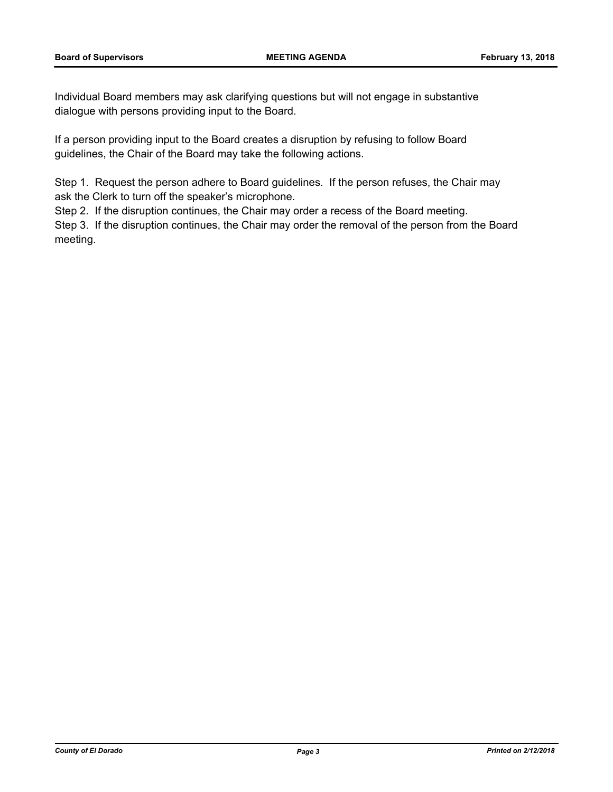Individual Board members may ask clarifying questions but will not engage in substantive dialogue with persons providing input to the Board.

If a person providing input to the Board creates a disruption by refusing to follow Board guidelines, the Chair of the Board may take the following actions.

Step 1. Request the person adhere to Board guidelines. If the person refuses, the Chair may ask the Clerk to turn off the speaker's microphone.

Step 2. If the disruption continues, the Chair may order a recess of the Board meeting.

Step 3. If the disruption continues, the Chair may order the removal of the person from the Board meeting.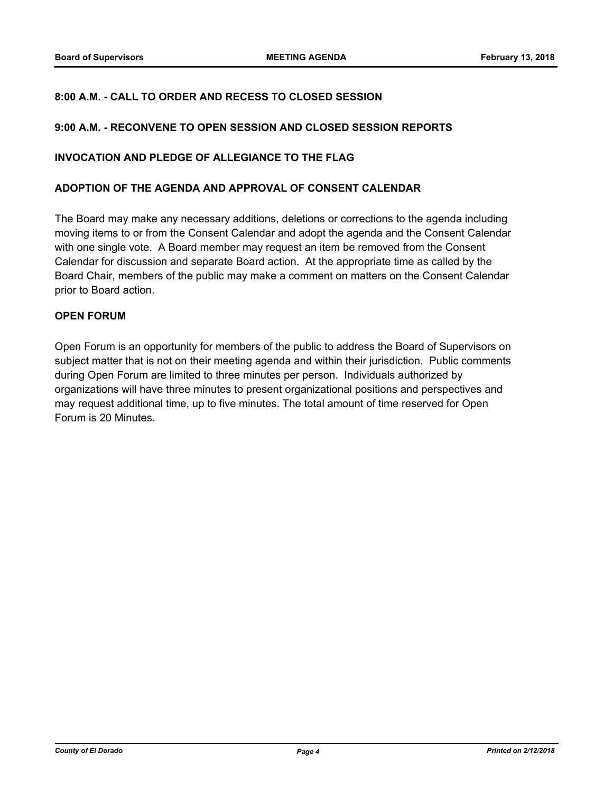## **8:00 A.M. - CALL TO ORDER AND RECESS TO CLOSED SESSION**

## **9:00 A.M. - RECONVENE TO OPEN SESSION AND CLOSED SESSION REPORTS**

## **INVOCATION AND PLEDGE OF ALLEGIANCE TO THE FLAG**

#### **ADOPTION OF THE AGENDA AND APPROVAL OF CONSENT CALENDAR**

The Board may make any necessary additions, deletions or corrections to the agenda including moving items to or from the Consent Calendar and adopt the agenda and the Consent Calendar with one single vote. A Board member may request an item be removed from the Consent Calendar for discussion and separate Board action. At the appropriate time as called by the Board Chair, members of the public may make a comment on matters on the Consent Calendar prior to Board action.

## **OPEN FORUM**

Open Forum is an opportunity for members of the public to address the Board of Supervisors on subject matter that is not on their meeting agenda and within their jurisdiction. Public comments during Open Forum are limited to three minutes per person. Individuals authorized by organizations will have three minutes to present organizational positions and perspectives and may request additional time, up to five minutes. The total amount of time reserved for Open Forum is 20 Minutes.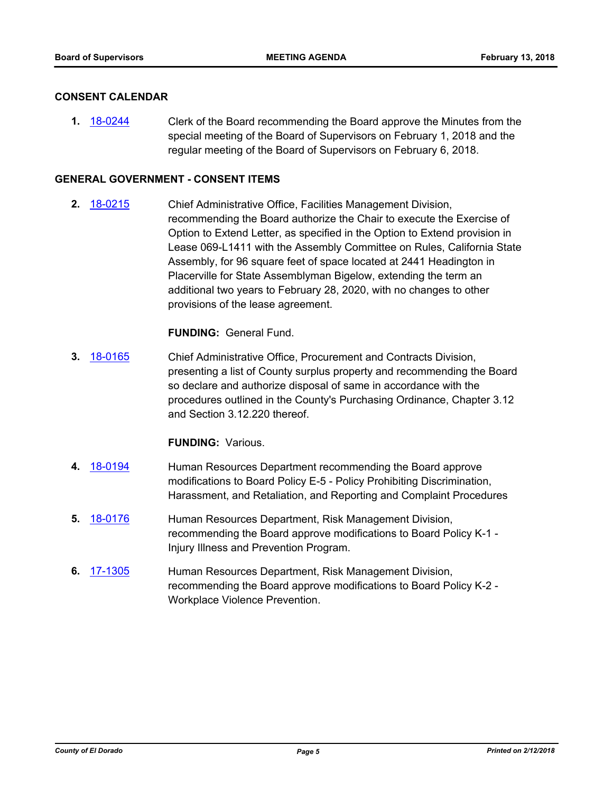#### **CONSENT CALENDAR**

**1.** [18-0244](http://eldorado.legistar.com/gateway.aspx?m=l&id=/matter.aspx?key=23586) Clerk of the Board recommending the Board approve the Minutes from the special meeting of the Board of Supervisors on February 1, 2018 and the regular meeting of the Board of Supervisors on February 6, 2018.

## **GENERAL GOVERNMENT - CONSENT ITEMS**

**2.** [18-0215](http://eldorado.legistar.com/gateway.aspx?m=l&id=/matter.aspx?key=23557) Chief Administrative Office, Facilities Management Division, recommending the Board authorize the Chair to execute the Exercise of Option to Extend Letter, as specified in the Option to Extend provision in Lease 069-L1411 with the Assembly Committee on Rules, California State Assembly, for 96 square feet of space located at 2441 Headington in Placerville for State Assemblyman Bigelow, extending the term an additional two years to February 28, 2020, with no changes to other provisions of the lease agreement.

**FUNDING:** General Fund.

**3.** [18-0165](http://eldorado.legistar.com/gateway.aspx?m=l&id=/matter.aspx?key=23507) Chief Administrative Office, Procurement and Contracts Division, presenting a list of County surplus property and recommending the Board so declare and authorize disposal of same in accordance with the procedures outlined in the County's Purchasing Ordinance, Chapter 3.12 and Section 3.12.220 thereof.

#### **FUNDING:** Various.

- **4.** [18-0194](http://eldorado.legistar.com/gateway.aspx?m=l&id=/matter.aspx?key=23536) Human Resources Department recommending the Board approve modifications to Board Policy E-5 - Policy Prohibiting Discrimination, Harassment, and Retaliation, and Reporting and Complaint Procedures
- **5.** [18-0176](http://eldorado.legistar.com/gateway.aspx?m=l&id=/matter.aspx?key=23518) Human Resources Department, Risk Management Division, recommending the Board approve modifications to Board Policy K-1 - Injury Illness and Prevention Program.
- **6.** [17-1305](http://eldorado.legistar.com/gateway.aspx?m=l&id=/matter.aspx?key=23249) Human Resources Department, Risk Management Division, recommending the Board approve modifications to Board Policy K-2 - Workplace Violence Prevention.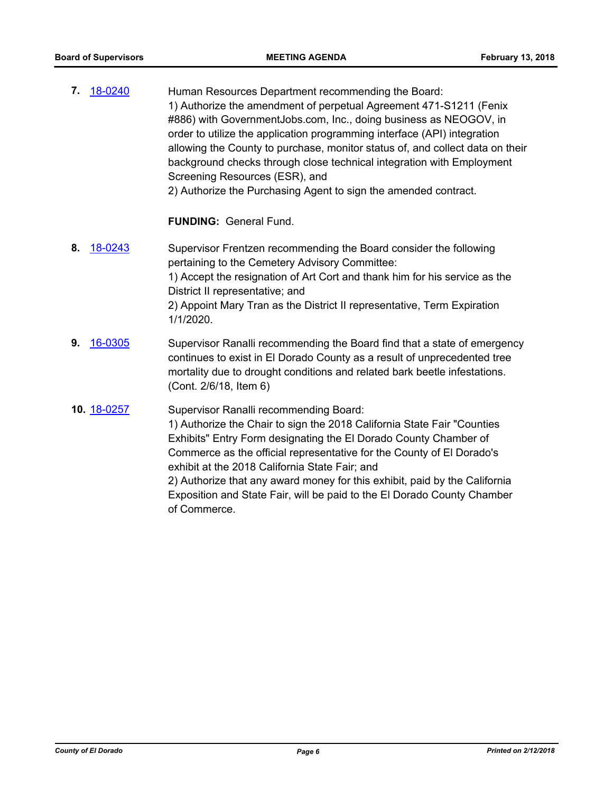| 18-0240<br>7. | Human Resources Department recommending the Board:<br>1) Authorize the amendment of perpetual Agreement 471-S1211 (Fenix<br>#886) with GovernmentJobs.com, Inc., doing business as NEOGOV, in<br>order to utilize the application programming interface (API) integration<br>allowing the County to purchase, monitor status of, and collect data on their<br>background checks through close technical integration with Employment<br>Screening Resources (ESR), and<br>2) Authorize the Purchasing Agent to sign the amended contract. |
|---------------|------------------------------------------------------------------------------------------------------------------------------------------------------------------------------------------------------------------------------------------------------------------------------------------------------------------------------------------------------------------------------------------------------------------------------------------------------------------------------------------------------------------------------------------|
|               | <b>FUNDING: General Fund.</b>                                                                                                                                                                                                                                                                                                                                                                                                                                                                                                            |
| 18-0243<br>8. | Supervisor Frentzen recommending the Board consider the following<br>pertaining to the Cemetery Advisory Committee:<br>1) Accept the resignation of Art Cort and thank him for his service as the<br>District II representative; and<br>2) Appoint Mary Tran as the District II representative, Term Expiration<br>1/1/2020.                                                                                                                                                                                                             |
| 16-0305<br>9. | Supervisor Ranalli recommending the Board find that a state of emergency<br>continues to exist in El Dorado County as a result of unprecedented tree<br>mortality due to drought conditions and related bark beetle infestations.<br>(Cont. 2/6/18, Item 6)                                                                                                                                                                                                                                                                              |
| 10. 18-0257   | Supervisor Ranalli recommending Board:<br>1) Authorize the Chair to sign the 2018 California State Fair "Counties<br>Exhibits" Entry Form designating the El Dorado County Chamber of<br>Commerce as the official representative for the County of El Dorado's<br>exhibit at the 2018 California State Fair; and<br>2) Authorize that any award money for this exhibit, paid by the California<br>Exposition and State Fair, will be paid to the El Dorado County Chamber<br>of Commerce.                                                |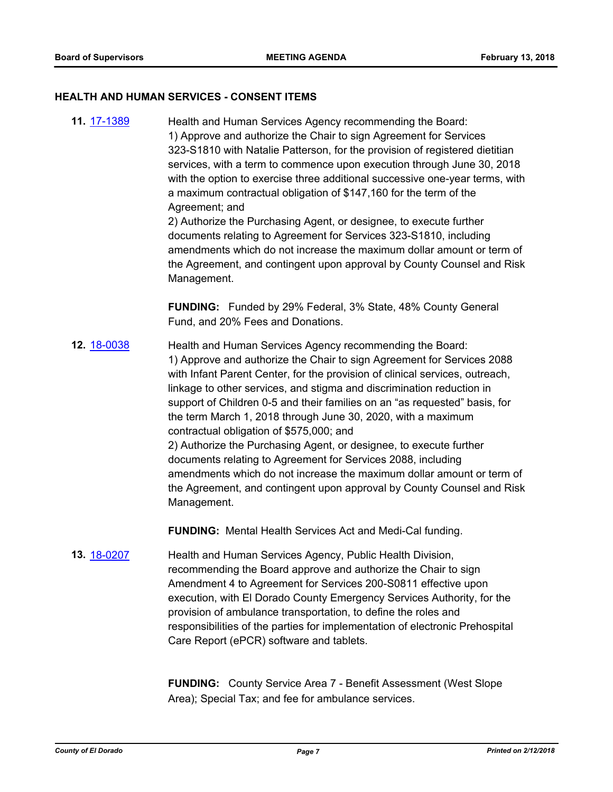#### **HEALTH AND HUMAN SERVICES - CONSENT ITEMS**

**11.** [17-1389](http://eldorado.legistar.com/gateway.aspx?m=l&id=/matter.aspx?key=23335) Health and Human Services Agency recommending the Board: 1) Approve and authorize the Chair to sign Agreement for Services 323-S1810 with Natalie Patterson, for the provision of registered dietitian services, with a term to commence upon execution through June 30, 2018 with the option to exercise three additional successive one-year terms, with a maximum contractual obligation of \$147,160 for the term of the Agreement; and 2) Authorize the Purchasing Agent, or designee, to execute further

documents relating to Agreement for Services 323-S1810, including amendments which do not increase the maximum dollar amount or term of the Agreement, and contingent upon approval by County Counsel and Risk Management.

**FUNDING:** Funded by 29% Federal, 3% State, 48% County General Fund, and 20% Fees and Donations.

**12.** [18-0038](http://eldorado.legistar.com/gateway.aspx?m=l&id=/matter.aspx?key=23379) Health and Human Services Agency recommending the Board: 1) Approve and authorize the Chair to sign Agreement for Services 2088 with Infant Parent Center, for the provision of clinical services, outreach, linkage to other services, and stigma and discrimination reduction in support of Children 0-5 and their families on an "as requested" basis, for the term March 1, 2018 through June 30, 2020, with a maximum contractual obligation of \$575,000; and 2) Authorize the Purchasing Agent, or designee, to execute further documents relating to Agreement for Services 2088, including amendments which do not increase the maximum dollar amount or term of the Agreement, and contingent upon approval by County Counsel and Risk Management.

**FUNDING:** Mental Health Services Act and Medi-Cal funding.

**13.** [18-0207](http://eldorado.legistar.com/gateway.aspx?m=l&id=/matter.aspx?key=23549) Health and Human Services Agency, Public Health Division, recommending the Board approve and authorize the Chair to sign Amendment 4 to Agreement for Services 200-S0811 effective upon execution, with El Dorado County Emergency Services Authority, for the provision of ambulance transportation, to define the roles and responsibilities of the parties for implementation of electronic Prehospital Care Report (ePCR) software and tablets.

> **FUNDING:** County Service Area 7 - Benefit Assessment (West Slope Area); Special Tax; and fee for ambulance services.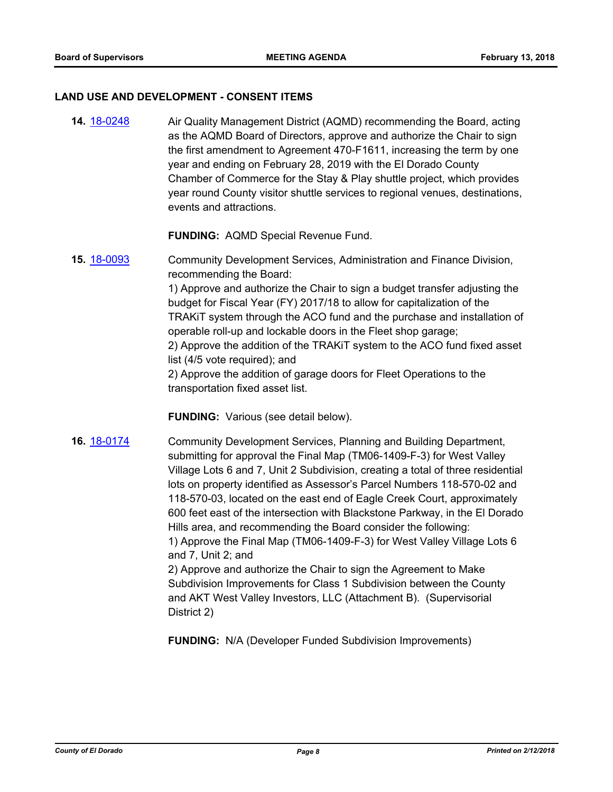#### **LAND USE AND DEVELOPMENT - CONSENT ITEMS**

**14.** [18-0248](http://eldorado.legistar.com/gateway.aspx?m=l&id=/matter.aspx?key=23591) Air Quality Management District (AQMD) recommending the Board, acting as the AQMD Board of Directors, approve and authorize the Chair to sign the first amendment to Agreement 470-F1611, increasing the term by one year and ending on February 28, 2019 with the El Dorado County Chamber of Commerce for the Stay & Play shuttle project, which provides year round County visitor shuttle services to regional venues, destinations, events and attractions.

**FUNDING:** AQMD Special Revenue Fund.

**15.** [18-0093](http://eldorado.legistar.com/gateway.aspx?m=l&id=/matter.aspx?key=23434) Community Development Services, Administration and Finance Division, recommending the Board: 1) Approve and authorize the Chair to sign a budget transfer adjusting the budget for Fiscal Year (FY) 2017/18 to allow for capitalization of the TRAKiT system through the ACO fund and the purchase and installation of operable roll-up and lockable doors in the Fleet shop garage; 2) Approve the addition of the TRAKiT system to the ACO fund fixed asset list (4/5 vote required); and 2) Approve the addition of garage doors for Fleet Operations to the transportation fixed asset list.

**FUNDING:** Various (see detail below).

**16.** [18-0174](http://eldorado.legistar.com/gateway.aspx?m=l&id=/matter.aspx?key=23516) Community Development Services, Planning and Building Department, submitting for approval the Final Map (TM06-1409-F-3) for West Valley Village Lots 6 and 7, Unit 2 Subdivision, creating a total of three residential lots on property identified as Assessor's Parcel Numbers 118-570-02 and 118-570-03, located on the east end of Eagle Creek Court, approximately 600 feet east of the intersection with Blackstone Parkway, in the El Dorado Hills area, and recommending the Board consider the following: 1) Approve the Final Map (TM06-1409-F-3) for West Valley Village Lots 6 and 7, Unit 2; and 2) Approve and authorize the Chair to sign the Agreement to Make Subdivision Improvements for Class 1 Subdivision between the County and AKT West Valley Investors, LLC (Attachment B). (Supervisorial

District 2)

**FUNDING:** N/A (Developer Funded Subdivision Improvements)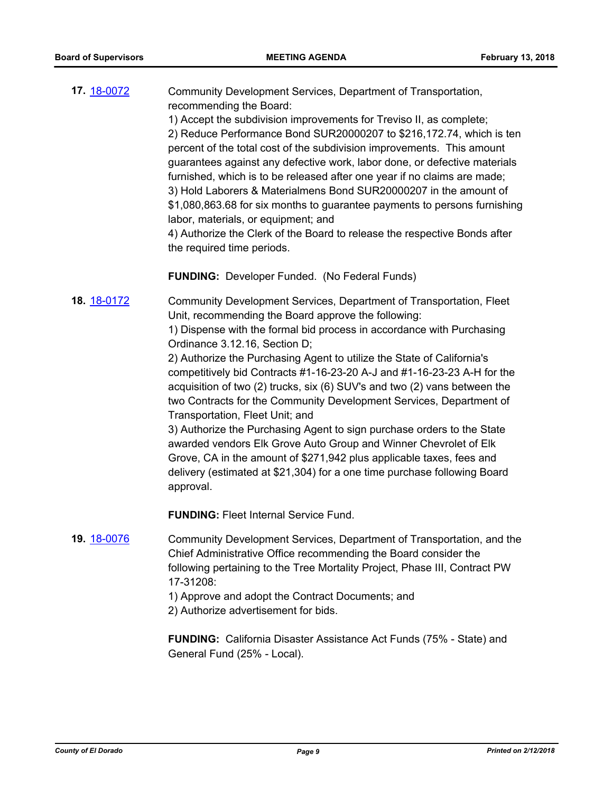**17.** [18-0072](http://eldorado.legistar.com/gateway.aspx?m=l&id=/matter.aspx?key=23413) Community Development Services, Department of Transportation, recommending the Board: 1) Accept the subdivision improvements for Treviso II, as complete;

2) Reduce Performance Bond SUR20000207 to \$216,172.74, which is ten percent of the total cost of the subdivision improvements. This amount guarantees against any defective work, labor done, or defective materials furnished, which is to be released after one year if no claims are made; 3) Hold Laborers & Materialmens Bond SUR20000207 in the amount of \$1,080,863.68 for six months to guarantee payments to persons furnishing labor, materials, or equipment; and

4) Authorize the Clerk of the Board to release the respective Bonds after the required time periods.

**FUNDING:** Developer Funded. (No Federal Funds)

**18.** [18-0172](http://eldorado.legistar.com/gateway.aspx?m=l&id=/matter.aspx?key=23514) Community Development Services, Department of Transportation, Fleet Unit, recommending the Board approve the following: 1) Dispense with the formal bid process in accordance with Purchasing Ordinance 3.12.16, Section D;

> 2) Authorize the Purchasing Agent to utilize the State of California's competitively bid Contracts #1-16-23-20 A-J and #1-16-23-23 A-H for the acquisition of two (2) trucks, six (6) SUV's and two (2) vans between the two Contracts for the Community Development Services, Department of Transportation, Fleet Unit; and

3) Authorize the Purchasing Agent to sign purchase orders to the State awarded vendors Elk Grove Auto Group and Winner Chevrolet of Elk Grove, CA in the amount of \$271,942 plus applicable taxes, fees and delivery (estimated at \$21,304) for a one time purchase following Board approval.

**FUNDING:** Fleet Internal Service Fund.

**19.** [18-0076](http://eldorado.legistar.com/gateway.aspx?m=l&id=/matter.aspx?key=23417) Community Development Services, Department of Transportation, and the Chief Administrative Office recommending the Board consider the following pertaining to the Tree Mortality Project, Phase III, Contract PW 17-31208:

1) Approve and adopt the Contract Documents; and

2) Authorize advertisement for bids.

**FUNDING:** California Disaster Assistance Act Funds (75% - State) and General Fund (25% - Local).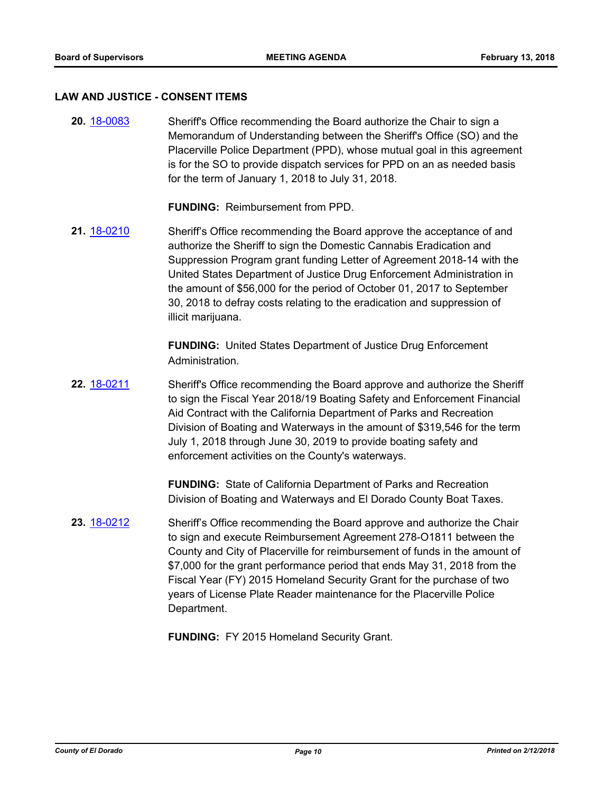#### **LAW AND JUSTICE - CONSENT ITEMS**

**20.** [18-0083](http://eldorado.legistar.com/gateway.aspx?m=l&id=/matter.aspx?key=23424) Sheriff's Office recommending the Board authorize the Chair to sign a Memorandum of Understanding between the Sheriff's Office (SO) and the Placerville Police Department (PPD), whose mutual goal in this agreement is for the SO to provide dispatch services for PPD on an as needed basis for the term of January 1, 2018 to July 31, 2018.

**FUNDING:** Reimbursement from PPD.

**21.** [18-0210](http://eldorado.legistar.com/gateway.aspx?m=l&id=/matter.aspx?key=23552) Sheriff's Office recommending the Board approve the acceptance of and authorize the Sheriff to sign the Domestic Cannabis Eradication and Suppression Program grant funding Letter of Agreement 2018-14 with the United States Department of Justice Drug Enforcement Administration in the amount of \$56,000 for the period of October 01, 2017 to September 30, 2018 to defray costs relating to the eradication and suppression of illicit marijuana.

> **FUNDING:** United States Department of Justice Drug Enforcement Administration.

**22.** [18-0211](http://eldorado.legistar.com/gateway.aspx?m=l&id=/matter.aspx?key=23553) Sheriff's Office recommending the Board approve and authorize the Sheriff to sign the Fiscal Year 2018/19 Boating Safety and Enforcement Financial Aid Contract with the California Department of Parks and Recreation Division of Boating and Waterways in the amount of \$319,546 for the term July 1, 2018 through June 30, 2019 to provide boating safety and enforcement activities on the County's waterways.

> **FUNDING:** State of California Department of Parks and Recreation Division of Boating and Waterways and El Dorado County Boat Taxes.

**23.** [18-0212](http://eldorado.legistar.com/gateway.aspx?m=l&id=/matter.aspx?key=23554) Sheriff's Office recommending the Board approve and authorize the Chair to sign and execute Reimbursement Agreement 278-O1811 between the County and City of Placerville for reimbursement of funds in the amount of \$7,000 for the grant performance period that ends May 31, 2018 from the Fiscal Year (FY) 2015 Homeland Security Grant for the purchase of two years of License Plate Reader maintenance for the Placerville Police Department.

**FUNDING:** FY 2015 Homeland Security Grant.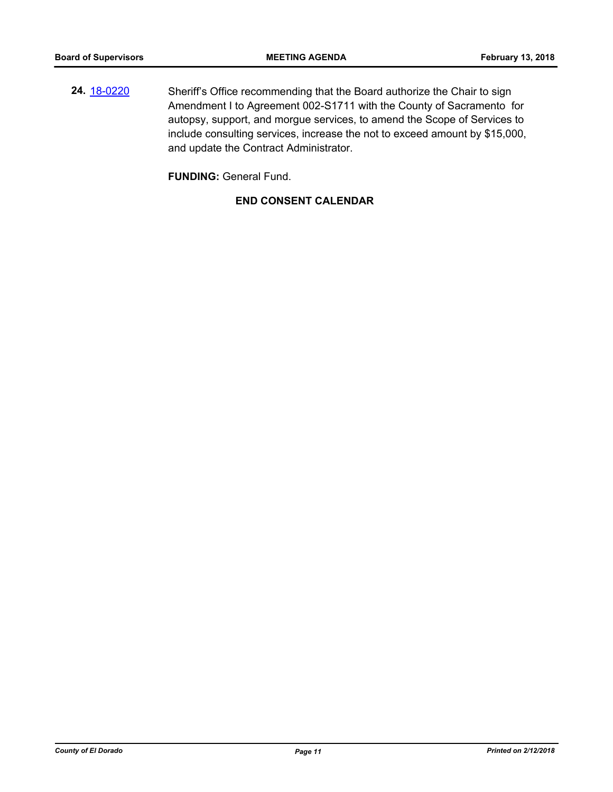**24.** [18-0220](http://eldorado.legistar.com/gateway.aspx?m=l&id=/matter.aspx?key=23562) Sheriff's Office recommending that the Board authorize the Chair to sign Amendment I to Agreement 002-S1711 with the County of Sacramento for autopsy, support, and morgue services, to amend the Scope of Services to include consulting services, increase the not to exceed amount by \$15,000, and update the Contract Administrator.

**FUNDING:** General Fund.

## **END CONSENT CALENDAR**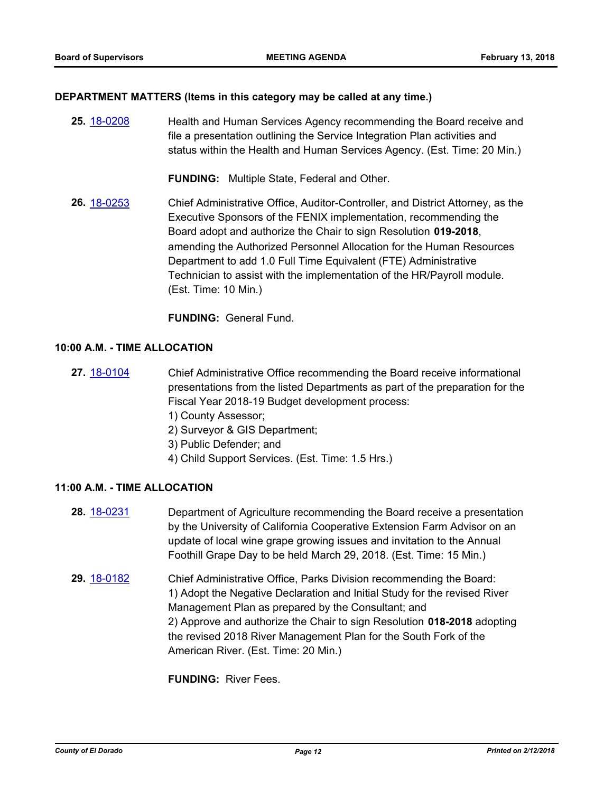#### **DEPARTMENT MATTERS (Items in this category may be called at any time.)**

**25.** [18-0208](http://eldorado.legistar.com/gateway.aspx?m=l&id=/matter.aspx?key=23550) Health and Human Services Agency recommending the Board receive and file a presentation outlining the Service Integration Plan activities and status within the Health and Human Services Agency. (Est. Time: 20 Min.)

**FUNDING:** Multiple State, Federal and Other.

**26.** [18-0253](http://eldorado.legistar.com/gateway.aspx?m=l&id=/matter.aspx?key=23596) Chief Administrative Office, Auditor-Controller, and District Attorney, as the Executive Sponsors of the FENIX implementation, recommending the Board adopt and authorize the Chair to sign Resolution **019-2018**, amending the Authorized Personnel Allocation for the Human Resources Department to add 1.0 Full Time Equivalent (FTE) Administrative Technician to assist with the implementation of the HR/Payroll module. (Est. Time: 10 Min.)

**FUNDING:** General Fund.

## **10:00 A.M. - TIME ALLOCATION**

- **27.** [18-0104](http://eldorado.legistar.com/gateway.aspx?m=l&id=/matter.aspx?key=23446) Chief Administrative Office recommending the Board receive informational presentations from the listed Departments as part of the preparation for the Fiscal Year 2018-19 Budget development process:
	- 1) County Assessor;
	- 2) Surveyor & GIS Department;
	- 3) Public Defender; and
	- 4) Child Support Services. (Est. Time: 1.5 Hrs.)

## **11:00 A.M. - TIME ALLOCATION**

- **28.** [18-0231](http://eldorado.legistar.com/gateway.aspx?m=l&id=/matter.aspx?key=23573) Department of Agriculture recommending the Board receive a presentation by the University of California Cooperative Extension Farm Advisor on an update of local wine grape growing issues and invitation to the Annual Foothill Grape Day to be held March 29, 2018. (Est. Time: 15 Min.)
- **29.** [18-0182](http://eldorado.legistar.com/gateway.aspx?m=l&id=/matter.aspx?key=23524) Chief Administrative Office, Parks Division recommending the Board: 1) Adopt the Negative Declaration and Initial Study for the revised River Management Plan as prepared by the Consultant; and 2) Approve and authorize the Chair to sign Resolution **018-2018** adopting the revised 2018 River Management Plan for the South Fork of the American River. (Est. Time: 20 Min.)

**FUNDING:** River Fees.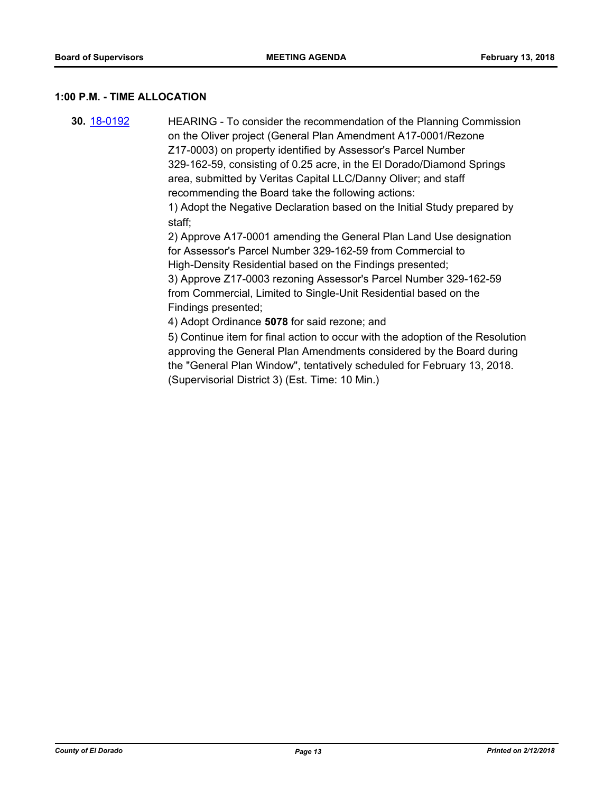#### **1:00 P.M. - TIME ALLOCATION**

**30.** [18-0192](http://eldorado.legistar.com/gateway.aspx?m=l&id=/matter.aspx?key=23534) HEARING - To consider the recommendation of the Planning Commission on the Oliver project (General Plan Amendment A17-0001/Rezone Z17-0003) on property identified by Assessor's Parcel Number 329-162-59, consisting of 0.25 acre, in the El Dorado/Diamond Springs area, submitted by Veritas Capital LLC/Danny Oliver; and staff recommending the Board take the following actions: 1) Adopt the Negative Declaration based on the Initial Study prepared by staff;

2) Approve A17-0001 amending the General Plan Land Use designation for Assessor's Parcel Number 329-162-59 from Commercial to High-Density Residential based on the Findings presented; 3) Approve Z17-0003 rezoning Assessor's Parcel Number 329-162-59 from Commercial, Limited to Single-Unit Residential based on the Findings presented;

4) Adopt Ordinance **5078** for said rezone; and

5) Continue item for final action to occur with the adoption of the Resolution approving the General Plan Amendments considered by the Board during the "General Plan Window", tentatively scheduled for February 13, 2018. (Supervisorial District 3) (Est. Time: 10 Min.)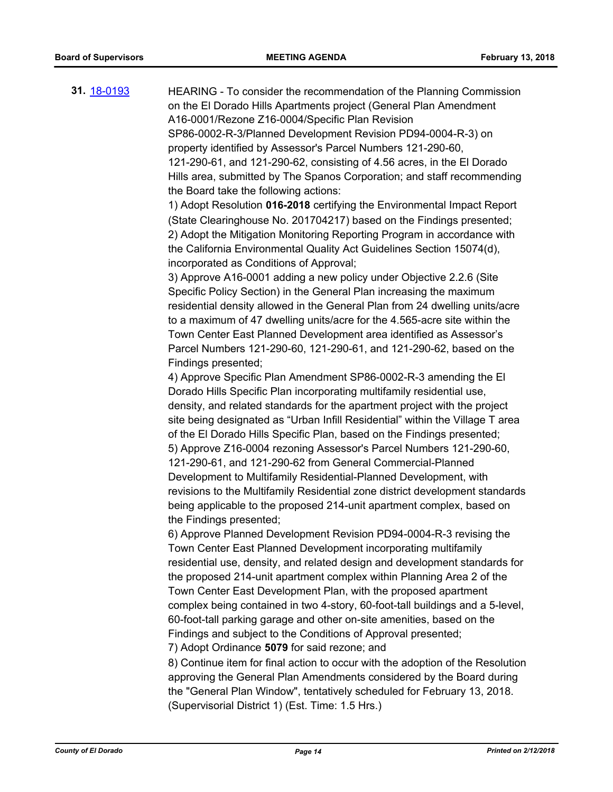| 31. <u>18-0193</u> | HEARING - To consider the recommendation of the Planning Commission<br>on the El Dorado Hills Apartments project (General Plan Amendment |
|--------------------|------------------------------------------------------------------------------------------------------------------------------------------|
|                    |                                                                                                                                          |
|                    | A16-0001/Rezone Z16-0004/Specific Plan Revision                                                                                          |
|                    | SP86-0002-R-3/Planned Development Revision PD94-0004-R-3) on                                                                             |
|                    | property identified by Assessor's Parcel Numbers 121-290-60,                                                                             |
|                    | 121-290-61, and 121-290-62, consisting of 4.56 acres, in the El Dorado                                                                   |
|                    | Hills area, submitted by The Spanos Corporation; and staff recommending                                                                  |
|                    | the Board take the following actions:                                                                                                    |
|                    | 1) Adopt Resolution 016-2018 certifying the Environmental Impact Report                                                                  |
|                    | (State Clearinghouse No. 201704217) based on the Findings presented;                                                                     |
|                    | 2) Adopt the Mitigation Monitoring Reporting Program in accordance with                                                                  |
|                    | the California Environmental Quality Act Guidelines Section 15074(d),                                                                    |
|                    | incorporated as Conditions of Approval;                                                                                                  |
|                    | 3) Approve A16-0001 adding a new policy under Objective 2.2.6 (Site                                                                      |
|                    | Specific Policy Section) in the General Plan increasing the maximum                                                                      |
|                    | residential density allowed in the General Plan from 24 dwelling units/acre                                                              |
|                    | to a maximum of 47 dwelling units/acre for the 4.565-acre site within the                                                                |
|                    | Town Center East Planned Development area identified as Assessor's                                                                       |
|                    | Parcel Numbers 121-290-60, 121-290-61, and 121-290-62, based on the                                                                      |
|                    | Findings presented;                                                                                                                      |
|                    | 4) Approve Specific Plan Amendment SP86-0002-R-3 amending the El                                                                         |
|                    | Dorado Hills Specific Plan incorporating multifamily residential use,                                                                    |
|                    | density, and related standards for the apartment project with the project                                                                |
|                    | site being designated as "Urban Infill Residential" within the Village T area                                                            |
|                    | of the El Dorado Hills Specific Plan, based on the Findings presented;                                                                   |
|                    | 5) Approve Z16-0004 rezoning Assessor's Parcel Numbers 121-290-60,                                                                       |
|                    | 121-290-61, and 121-290-62 from General Commercial-Planned                                                                               |
|                    | Development to Multifamily Residential-Planned Development, with                                                                         |
|                    | revisions to the Multifamily Residential zone district development standards                                                             |
|                    | being applicable to the proposed 214-unit apartment complex, based on                                                                    |
|                    | the Findings presented;                                                                                                                  |
|                    | 6) Approve Planned Development Revision PD94-0004-R-3 revising the                                                                       |
|                    | Town Center East Planned Development incorporating multifamily                                                                           |
|                    | residential use, density, and related design and development standards for                                                               |
|                    | the proposed 214-unit apartment complex within Planning Area 2 of the                                                                    |
|                    | Town Center East Development Plan, with the proposed apartment                                                                           |
|                    | complex being contained in two 4-story, 60-foot-tall buildings and a 5-level,                                                            |
|                    | 60-foot-tall parking garage and other on-site amenities, based on the                                                                    |
|                    | Findings and subject to the Conditions of Approval presented;                                                                            |
|                    | 7) Adopt Ordinance 5079 for said rezone; and                                                                                             |
|                    | 8) Continue item for final action to occur with the adoption of the Resolution                                                           |
|                    | approving the General Plan Amendments considered by the Board during                                                                     |
|                    | the "General Plan Window", tentatively scheduled for February 13, 2018.                                                                  |
|                    | (Supervisorial District 1) (Est. Time: 1.5 Hrs.)                                                                                         |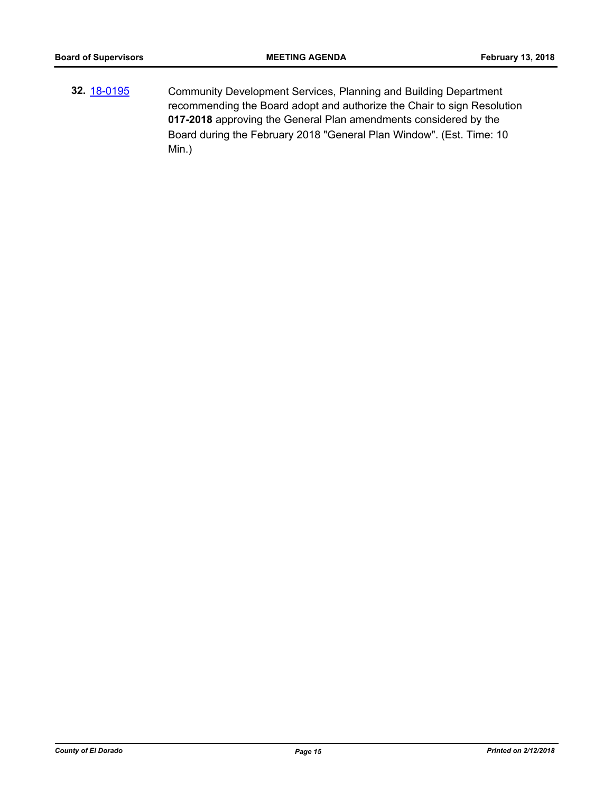**32.** [18-0195](http://eldorado.legistar.com/gateway.aspx?m=l&id=/matter.aspx?key=23537) Community Development Services, Planning and Building Department recommending the Board adopt and authorize the Chair to sign Resolution **017-2018** approving the General Plan amendments considered by the Board during the February 2018 "General Plan Window". (Est. Time: 10 Min.)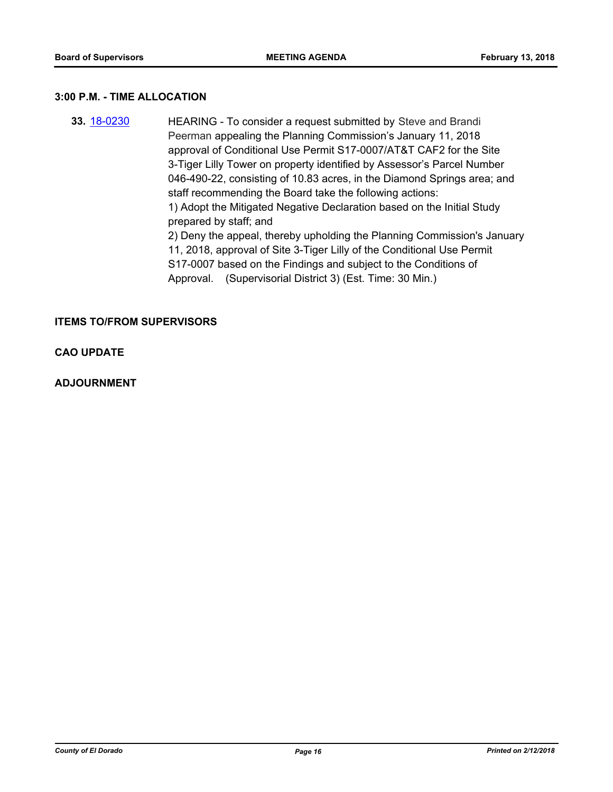#### **3:00 P.M. - TIME ALLOCATION**

**33.** [18-0230](http://eldorado.legistar.com/gateway.aspx?m=l&id=/matter.aspx?key=23572) HEARING - To consider a request submitted by Steve and Brandi Peerman appealing the Planning Commission's January 11, 2018 approval of Conditional Use Permit S17-0007/AT&T CAF2 for the Site 3-Tiger Lilly Tower on property identified by Assessor's Parcel Number 046-490-22, consisting of 10.83 acres, in the Diamond Springs area; and staff recommending the Board take the following actions: 1) Adopt the Mitigated Negative Declaration based on the Initial Study prepared by staff; and 2) Deny the appeal, thereby upholding the Planning Commission's January 11, 2018, approval of Site 3-Tiger Lilly of the Conditional Use Permit S17-0007 based on the Findings and subject to the Conditions of Approval. (Supervisorial District 3) (Est. Time: 30 Min.)

## **ITEMS TO/FROM SUPERVISORS**

## **CAO UPDATE**

## **ADJOURNMENT**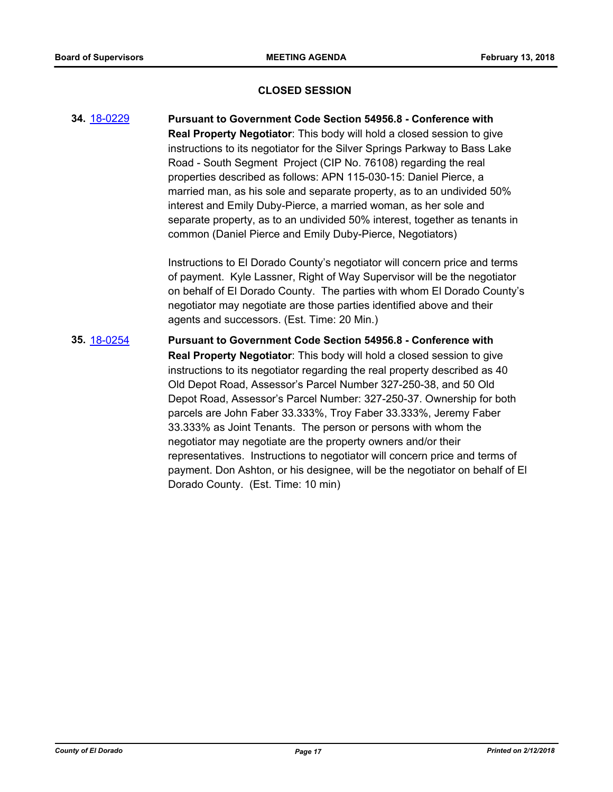## **CLOSED SESSION**

**34.** [18-0229](http://eldorado.legistar.com/gateway.aspx?m=l&id=/matter.aspx?key=23571) **Pursuant to Government Code Section 54956.8 - Conference with Real Property Negotiator**: This body will hold a closed session to give instructions to its negotiator for the Silver Springs Parkway to Bass Lake Road - South Segment Project (CIP No. 76108) regarding the real properties described as follows: APN 115-030-15: Daniel Pierce, a married man, as his sole and separate property, as to an undivided 50% interest and Emily Duby-Pierce, a married woman, as her sole and separate property, as to an undivided 50% interest, together as tenants in common (Daniel Pierce and Emily Duby-Pierce, Negotiators)

> Instructions to El Dorado County's negotiator will concern price and terms of payment. Kyle Lassner, Right of Way Supervisor will be the negotiator on behalf of El Dorado County. The parties with whom El Dorado County's negotiator may negotiate are those parties identified above and their agents and successors. (Est. Time: 20 Min.)

**35.** [18-0254](http://eldorado.legistar.com/gateway.aspx?m=l&id=/matter.aspx?key=23597) **Pursuant to Government Code Section 54956.8 - Conference with Real Property Negotiator**: This body will hold a closed session to give instructions to its negotiator regarding the real property described as 40 Old Depot Road, Assessor's Parcel Number 327-250-38, and 50 Old Depot Road, Assessor's Parcel Number: 327-250-37. Ownership for both parcels are John Faber 33.333%, Troy Faber 33.333%, Jeremy Faber 33.333% as Joint Tenants. The person or persons with whom the negotiator may negotiate are the property owners and/or their representatives. Instructions to negotiator will concern price and terms of payment. Don Ashton, or his designee, will be the negotiator on behalf of El Dorado County. (Est. Time: 10 min)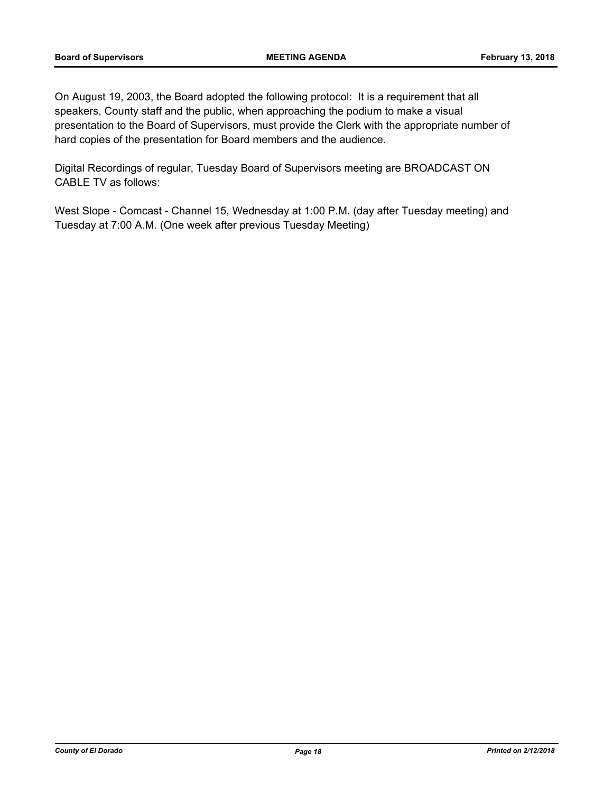On August 19, 2003, the Board adopted the following protocol: It is a requirement that all speakers, County staff and the public, when approaching the podium to make a visual presentation to the Board of Supervisors, must provide the Clerk with the appropriate number of hard copies of the presentation for Board members and the audience.

Digital Recordings of regular, Tuesday Board of Supervisors meeting are BROADCAST ON CABLE TV as follows:

West Slope - Comcast - Channel 15, Wednesday at 1:00 P.M. (day after Tuesday meeting) and Tuesday at 7:00 A.M. (One week after previous Tuesday Meeting)